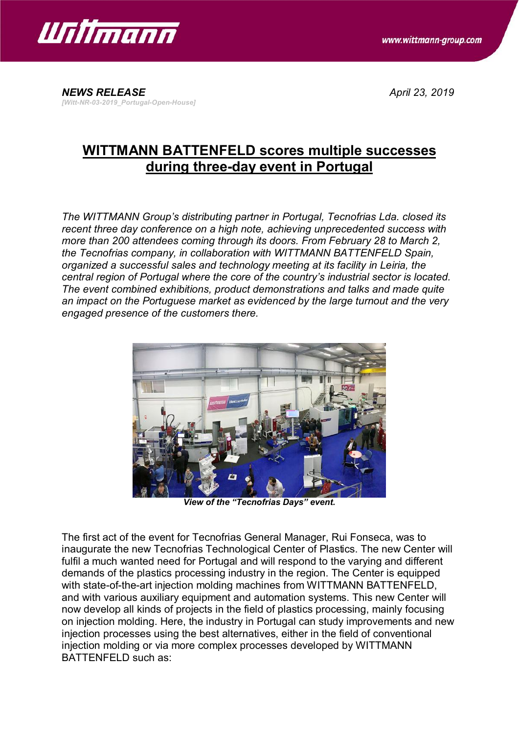



#### *NEWS RELEASE April 23, 2019 [Witt-NR-03-2019\_Portugal-Open-House]*

# **WITTMANN BATTENFELD scores multiple successes during three-day event in Portugal**

*The WITTMANN Group's distributing partner in Portugal, Tecnofrias Lda. closed its recent three day conference on a high note, achieving unprecedented success with more than 200 attendees coming through its doors. From February 28 to March 2, the Tecnofrias company, in collaboration with WITTMANN BATTENFELD Spain, organized a successful sales and technology meeting at its facility in Leiria, the central region of Portugal where the core of the country's industrial sector is located. The event combined exhibitions, product demonstrations and talks and made quite an impact on the Portuguese market as evidenced by the large turnout and the very engaged presence of the customers there.*



*View of the "Tecnofrias Days" event.*

The first act of the event for Tecnofrias General Manager, Rui Fonseca, was to inaugurate the new Tecnofrias Technological Center of Plastics. The new Center will fulfil a much wanted need for Portugal and will respond to the varying and different demands of the plastics processing industry in the region. The Center is equipped with state-of-the-art injection molding machines from WITTMANN BATTENFELD, and with various auxiliary equipment and automation systems. This new Center will now develop all kinds of projects in the field of plastics processing, mainly focusing on injection molding. Here, the industry in Portugal can study improvements and new injection processes using the best alternatives, either in the field of conventional injection molding or via more complex processes developed by WITTMANN BATTENFELD such as: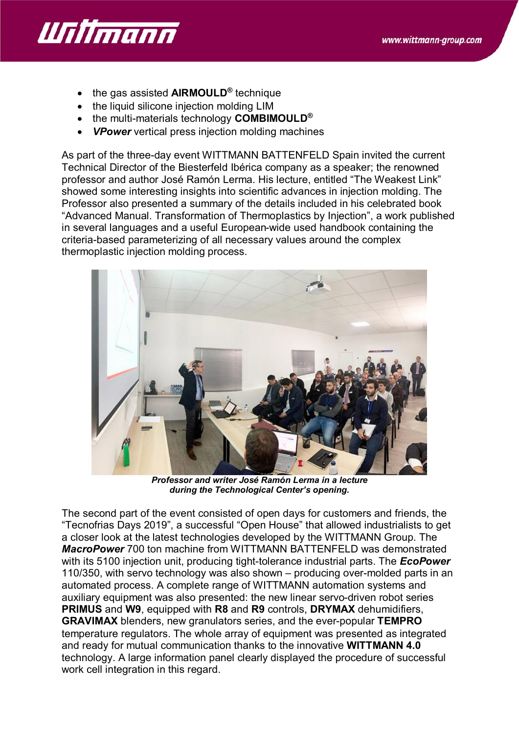

- · the gas assisted **AIRMOULD®** technique
- the liquid silicone injection molding LIM
- · the multi-materials technology **COMBIMOULD®**
- · *VPower* vertical press injection molding machines

As part of the three-day event WITTMANN BATTENFELD Spain invited the current Technical Director of the Biesterfeld Ibérica company as a speaker; the renowned professor and author José Ramón Lerma. His lecture, entitled "The Weakest Link" showed some interesting insights into scientific advances in injection molding. The Professor also presented a summary of the details included in his celebrated book "Advanced Manual. Transformation of Thermoplastics by Injection", a work published in several languages and a useful European-wide used handbook containing the criteria-based parameterizing of all necessary values around the complex thermoplastic injection molding process.



*Professor and writer José Ramón Lerma in a lecture during the Technological Center's opening.*

The second part of the event consisted of open days for customers and friends, the "Tecnofrias Days 2019", a successful "Open House" that allowed industrialists to get a closer look at the latest technologies developed by the WITTMANN Group. The *MacroPower* 700 ton machine from WITTMANN BATTENFELD was demonstrated with its 5100 injection unit, producing tight-tolerance industrial parts. The *EcoPower* 110/350, with servo technology was also shown – producing over-molded parts in an automated process. A complete range of WITTMANN automation systems and auxiliary equipment was also presented: the new linear servo-driven robot series **PRIMUS** and **W9**, equipped with **R8** and **R9** controls, **DRYMAX** dehumidifiers, **GRAVIMAX** blenders, new granulators series, and the ever-popular **TEMPRO** temperature regulators. The whole array of equipment was presented as integrated and ready for mutual communication thanks to the innovative **WITTMANN 4.0** technology. A large information panel clearly displayed the procedure of successful work cell integration in this regard.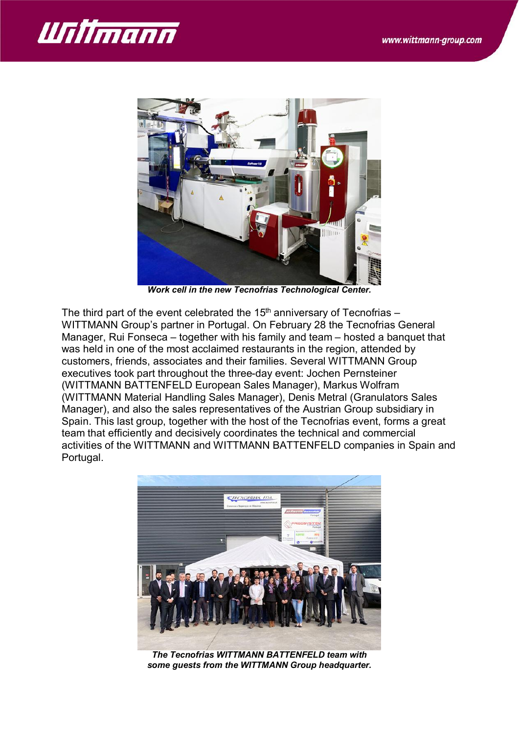



*Work cell in the new Tecnofrias Technological Center.*

The third part of the event celebrated the  $15<sup>th</sup>$  anniversary of Tecnofrias – WITTMANN Group's partner in Portugal. On February 28 the Tecnofrias General Manager, Rui Fonseca – together with his family and team – hosted a banquet that was held in one of the most acclaimed restaurants in the region, attended by customers, friends, associates and their families. Several WITTMANN Group executives took part throughout the three-day event: Jochen Pernsteiner (WITTMANN BATTENFELD European Sales Manager), Markus Wolfram (WITTMANN Material Handling Sales Manager), Denis Metral (Granulators Sales Manager), and also the sales representatives of the Austrian Group subsidiary in Spain. This last group, together with the host of the Tecnofrias event, forms a great team that efficiently and decisively coordinates the technical and commercial activities of the WITTMANN and WITTMANN BATTENFELD companies in Spain and Portugal.



*The Tecnofrias WITTMANN BATTENFELD team with some guests from the WITTMANN Group headquarter.*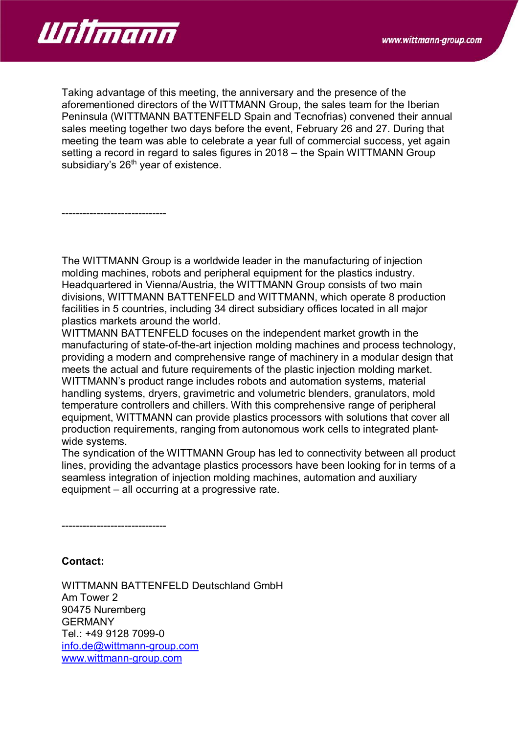

------------------------------

Taking advantage of this meeting, the anniversary and the presence of the aforementioned directors of the WITTMANN Group, the sales team for the Iberian Peninsula (WITTMANN BATTENFELD Spain and Tecnofrias) convened their annual sales meeting together two days before the event, February 26 and 27. During that meeting the team was able to celebrate a year full of commercial success, yet again setting a record in regard to sales figures in 2018 – the Spain WITTMANN Group subsidiary's 26<sup>th</sup> year of existence.

The WITTMANN Group is a worldwide leader in the manufacturing of injection molding machines, robots and peripheral equipment for the plastics industry. Headquartered in Vienna/Austria, the WITTMANN Group consists of two main divisions, WITTMANN BATTENFELD and WITTMANN, which operate 8 production facilities in 5 countries, including 34 direct subsidiary offices located in all major plastics markets around the world.

WITTMANN BATTENFELD focuses on the independent market growth in the manufacturing of state-of-the-art injection molding machines and process technology, providing a modern and comprehensive range of machinery in a modular design that meets the actual and future requirements of the plastic injection molding market. WITTMANN's product range includes robots and automation systems, material handling systems, dryers, gravimetric and volumetric blenders, granulators, mold temperature controllers and chillers. With this comprehensive range of peripheral equipment, WITTMANN can provide plastics processors with solutions that cover all production requirements, ranging from autonomous work cells to integrated plantwide systems.

The syndication of the WITTMANN Group has led to connectivity between all product lines, providing the advantage plastics processors have been looking for in terms of a seamless integration of injection molding machines, automation and auxiliary equipment – all occurring at a progressive rate.

------------------------------

### **Contact:**

WITTMANN BATTENFELD Deutschland GmbH Am Tower 2 90475 Nuremberg GERMANY Tel.: +49 9128 7099-0 [info.de@wittmann-group.com](mailto:info.de@wittmann-group.com) [www.wittmann-group.com](http://www.wittmann-group.com/)